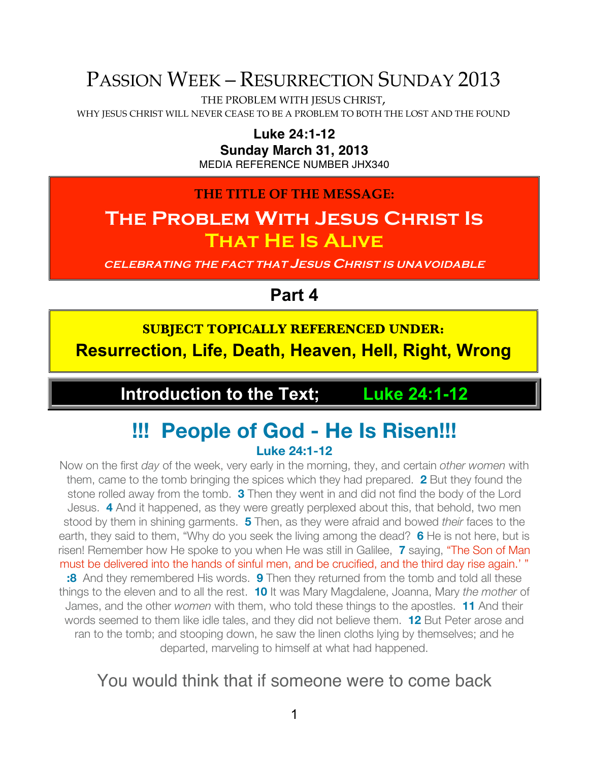# PASSION WEEK – RESURRECTION SUNDAY 2013

THE PROBLEM WITH JESUS CHRIST,

WHY JESUS CHRIST WILL NEVER CEASE TO BE A PROBLEM TO BOTH THE LOST AND THE FOUND

**Luke 24:1-12**

**Sunday March 31, 2013**

MEDIA REFERENCE NUMBER JHX340

**THE TITLE OF THE MESSAGE:**

## **The Problem With Jesus Christ Is That He Is Alive**

**CELEBRATING THE FACT THAT JESUS CHRIST IS UNAVOIDABLE**

**Part 4**

**SUBJECT TOPICALLY REFERENCED UNDER: Resurrection, Life, Death, Heaven, Hell, Right, Wrong**

**Introduction to the Text; Luke 24:1-12**

## **!!! People of God - He Is Risen!!! Luke 24:1-12**

Now on the first *day* of the week, very early in the morning, they, and certain *other women* with them, came to the tomb bringing the spices which they had prepared. **2** But they found the stone rolled away from the tomb. **3** Then they went in and did not find the body of the Lord Jesus. **4** And it happened, as they were greatly perplexed about this, that behold, two men stood by them in shining garments. **5** Then, as they were afraid and bowed *their* faces to the earth, they said to them, "Why do you seek the living among the dead? **6** He is not here, but is risen! Remember how He spoke to you when He was still in Galilee, **7** saying, "The Son of Man must be delivered into the hands of sinful men, and be crucified, and the third day rise again.' " **:8** And they remembered His words. **9** Then they returned from the tomb and told all these things to the eleven and to all the rest. **10** It was Mary Magdalene, Joanna, Mary *the mother* of James, and the other *women* with them, who told these things to the apostles. **11** And their words seemed to them like idle tales, and they did not believe them. **12** But Peter arose and ran to the tomb; and stooping down, he saw the linen cloths lying by themselves; and he departed, marveling to himself at what had happened.

### You would think that if someone were to come back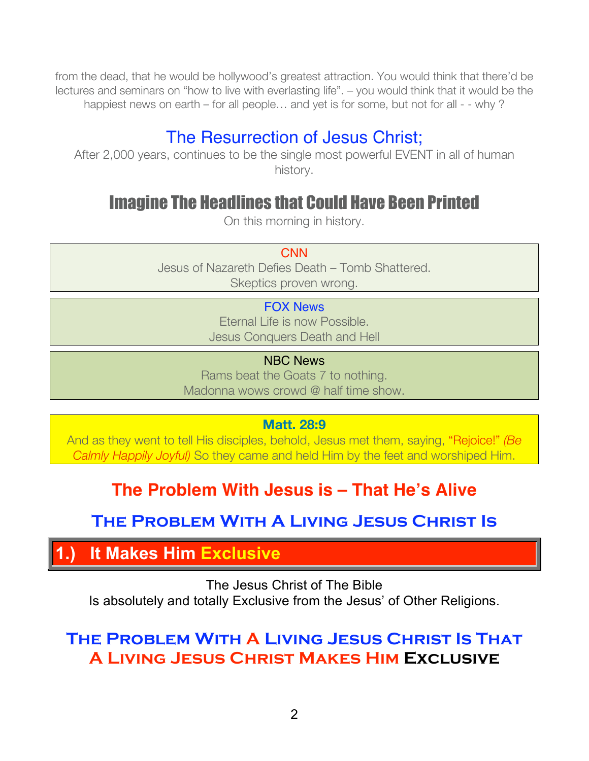from the dead, that he would be hollywood's greatest attraction. You would think that there'd be lectures and seminars on "how to live with everlasting life". – you would think that it would be the happiest news on earth – for all people… and yet is for some, but not for all - - why ?

## The Resurrection of Jesus Christ;

After 2,000 years, continues to be the single most powerful EVENT in all of human history.

## Imagine The Headlines that Could Have Been Printed

On this morning in history.

**CNN** 

Jesus of Nazareth Defies Death – Tomb Shattered. Skeptics proven wrong.

### FOX News

Eternal Life is now Possible. Jesus Conquers Death and Hell

NBC News

Rams beat the Goats 7 to nothing. Madonna wows crowd @ half time show.

**Matt. 28:9**

And as they went to tell His disciples, behold, Jesus met them, saying, "Rejoice!" *(Be Calmly Happily Joyful)* So they came and held Him by the feet and worshiped Him.

## **The Problem With Jesus is – That He's Alive**

**The Problem With A Living Jesus Christ Is** 

**1.) It Makes Him Exclusive**

The Jesus Christ of The Bible Is absolutely and totally Exclusive from the Jesus' of Other Religions.

## **The Problem With A Living Jesus Christ Is That A Living Jesus Christ Makes Him Exclusive**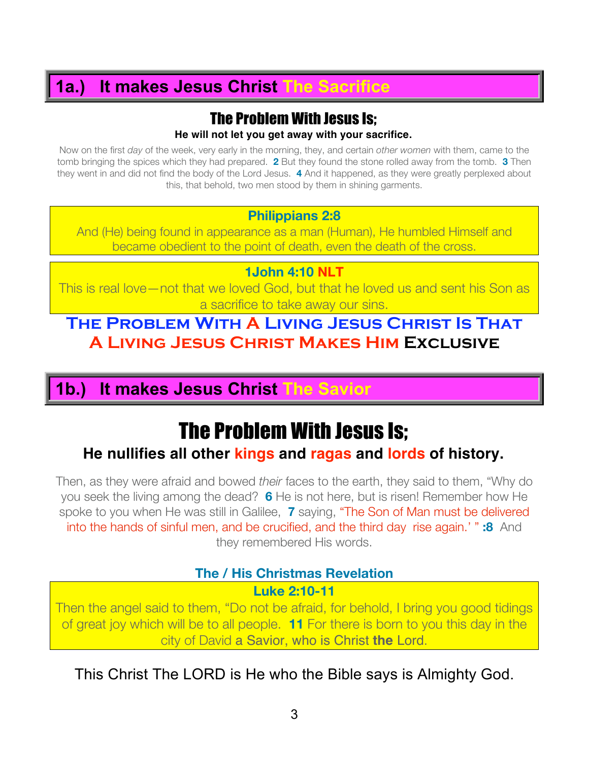## **1a.) It makes Jesus Christ The Sacrifice**

# The Problem With Jesus Is;

**He will not let you get away with your sacrifice.**

Now on the first *day* of the week, very early in the morning, they, and certain *other women* with them, came to the tomb bringing the spices which they had prepared. **2** But they found the stone rolled away from the tomb. **3** Then they went in and did not find the body of the Lord Jesus. **4** And it happened, as they were greatly perplexed about this, that behold, two men stood by them in shining garments.

#### **Philippians 2:8**

And (He) being found in appearance as a man (Human), He humbled Himself and became obedient to the point of death, even the death of the cross.

#### **1John 4:10 NLT**

This is real love—not that we loved God, but that he loved us and sent his Son as a sacrifice to take away our sins.

### **The Problem With A Living Jesus Christ Is That A Living Jesus Christ Makes Him Exclusive**

### **1b.) It makes Jesus Christ The Savior**

# The Problem With Jesus Is;

### **He nullifies all other kings and ragas and lords of history.**

Then, as they were afraid and bowed *their* faces to the earth, they said to them, "Why do you seek the living among the dead? **6** He is not here, but is risen! Remember how He spoke to you when He was still in Galilee, **7** saying, "The Son of Man must be delivered into the hands of sinful men, and be crucified, and the third day rise again.' " **:8** And they remembered His words.

### **The / His Christmas Revelation**

#### **Luke 2:10-11**

Then the angel said to them, "Do not be afraid, for behold, I bring you good tidings of great joy which will be to all people. **11** For there is born to you this day in the city of David a Savior, who is Christ **the** Lord.

This Christ The LORD is He who the Bible says is Almighty God.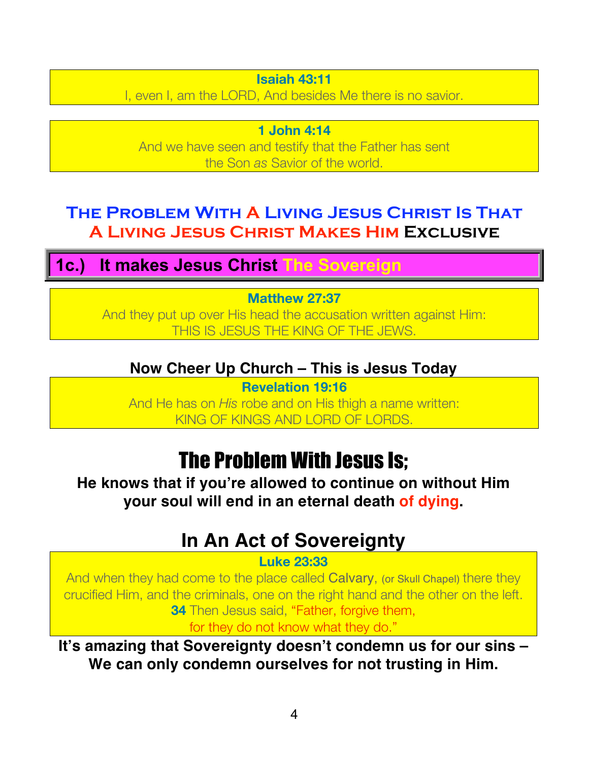#### **Isaiah 43:11**

I, even I, am the LORD, And besides Me there is no savior.

**1 John 4:14** And we have seen and testify that the Father has sent the Son *as* Savior of the world.

## **The Problem With A Living Jesus Christ Is That A Living Jesus Christ Makes Him Exclusive**

**1c.) It makes Jesus Christ The Sovereign**

### **Matthew 27:37**

And they put up over His head the accusation written against Him: THIS IS JESUS THE KING OF THE JEWS.

### **Now Cheer Up Church – This is Jesus Today**

**Revelation 19:16** And He has on *His* robe and on His thigh a name written: KING OF KINGS AND LORD OF LORDS.

# The Problem With Jesus Is;

**He knows that if you're allowed to continue on without Him your soul will end in an eternal death of dying.**

# **In An Act of Sovereignty**

#### **Luke 23:33**

And when they had come to the place called Calvary, (or Skull Chapel) there they crucified Him, and the criminals, one on the right hand and the other on the left. **34** Then Jesus said, "Father, forgive them,

for they do not know what they do."

**It's amazing that Sovereignty doesn't condemn us for our sins – We can only condemn ourselves for not trusting in Him.**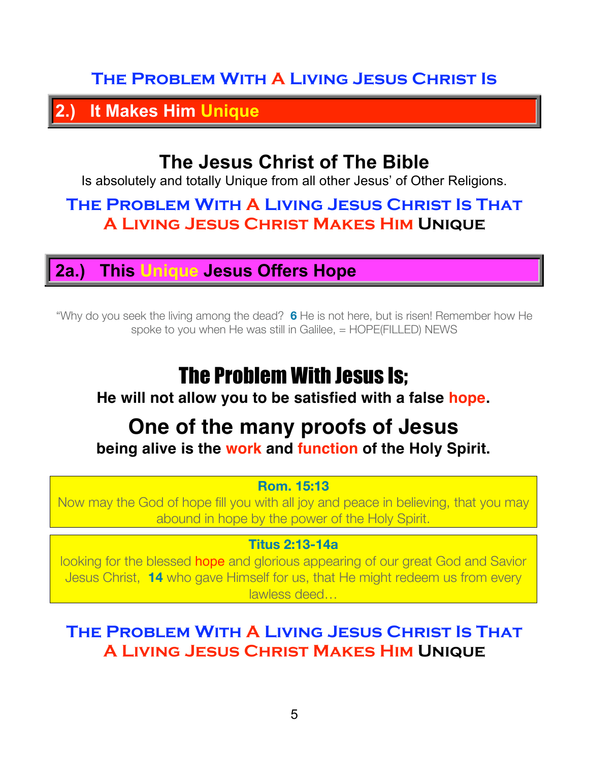## **The Problem With A Living Jesus Christ Is**

**2.) It Makes Him Unique**

## **The Jesus Christ of The Bible**

Is absolutely and totally Unique from all other Jesus' of Other Religions.

## **The Problem With A Living Jesus Christ Is That A Living Jesus Christ Makes Him Unique**

### **2a.) This Unique Jesus Offers Hope**

"Why do you seek the living among the dead? **6** He is not here, but is risen! Remember how He spoke to you when He was still in Galilee, = HOPE(FILLED) NEWS

# The Problem With Jesus Is;

### **He will not allow you to be satisfied with a false hope.**

## **One of the many proofs of Jesus being alive is the work and function of the Holy Spirit.**

### **Rom. 15:13**

Now may the God of hope fill you with all joy and peace in believing, that you may abound in hope by the power of the Holy Spirit.

### **Titus 2:13-14a**

looking for the blessed hope and glorious appearing of our great God and Savior Jesus Christ, **14** who gave Himself for us, that He might redeem us from every lawless deed…

## **The Problem With A Living Jesus Christ Is That A Living Jesus Christ Makes Him Unique**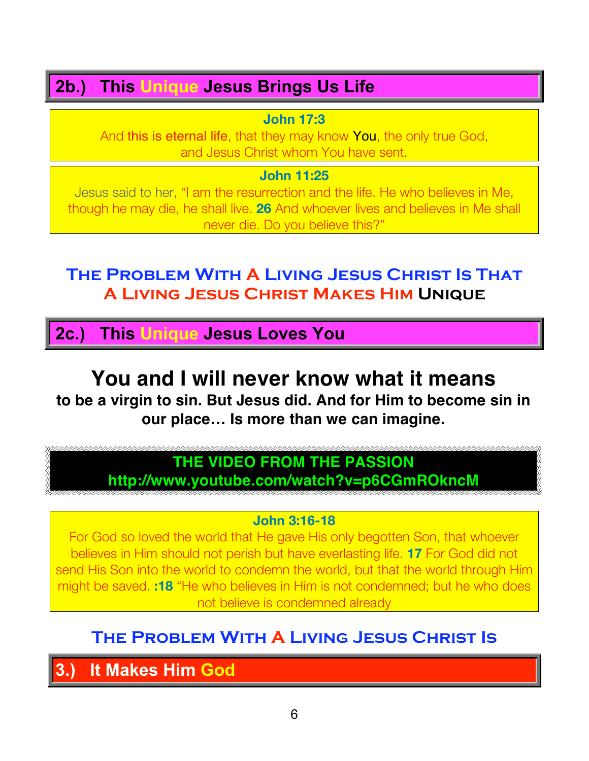## **2b.) This Unique Jesus Brings Us Life**

**John 17:3**

And this is eternal life, that they may know You, the only true God, and Jesus Christ whom You have sent.

**John 11:25**

Jesus said to her, "I am the resurrection and the life. He who believes in Me, though he may die, he shall live. **26** And whoever lives and believes in Me shall never die. Do you believe this?"

## **The Problem With A Living Jesus Christ Is That A Living Jesus Christ Makes Him Unique**

**2c.) This Unique Jesus Loves You**

# **You and I will never know what it means**

**to be a virgin to sin. But Jesus did. And for Him to become sin in our place… Is more than we can imagine.**

## **THE VIDEO FROM THE PASSION**

**http://www.youtube.com/watch?v=p6CGmROkncM**

### **John 3:16-18**

For God so loved the world that He gave His only begotten Son, that whoever believes in Him should not perish but have everlasting life. **17** For God did not send His Son into the world to condemn the world, but that the world through Him might be saved. **:18** "He who believes in Him is not condemned; but he who does not believe is condemned already

## **The Problem With A Living Jesus Christ Is**

**3.) It Makes Him God**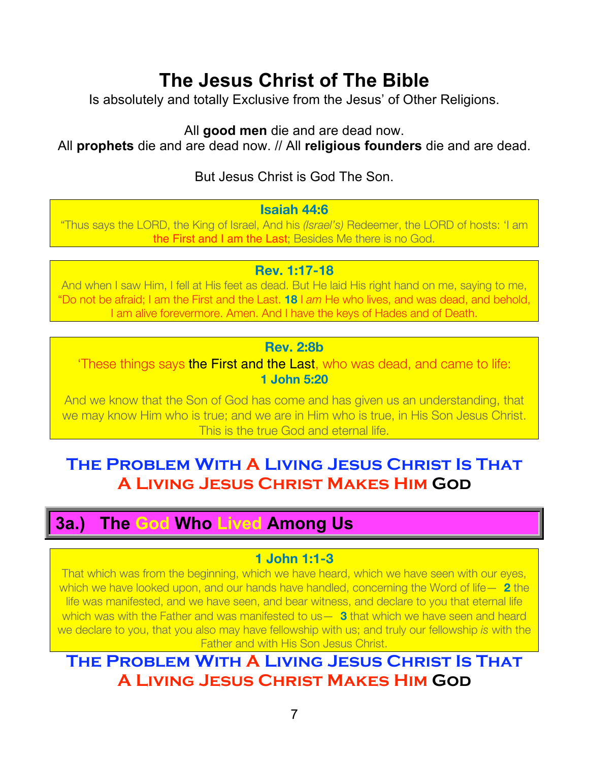# **The Jesus Christ of The Bible**

Is absolutely and totally Exclusive from the Jesus' of Other Religions.

All **good men** die and are dead now.

All **prophets** die and are dead now. // All **religious founders** die and are dead.

### But Jesus Christ is God The Son.

#### **Isaiah 44:6**

"Thus says the LORD, the King of Israel, And his *(Israel's)* Redeemer, the LORD of hosts: 'I am the First and I am the Last; Besides Me there is no God.

### **Rev. 1:17-18**

And when I saw Him, I fell at His feet as dead. But He laid His right hand on me, saying to me, "Do not be afraid; I am the First and the Last. **18** I *am* He who lives, and was dead, and behold, I am alive forevermore. Amen. And I have the keys of Hades and of Death.

### **Rev. 2:8b**

'These things says the First and the Last, who was dead, and came to life: **1 John 5:20**

And we know that the Son of God has come and has given us an understanding, that we may know Him who is true; and we are in Him who is true, in His Son Jesus Christ. This is the true God and eternal life.

## **The Problem With A Living Jesus Christ Is That A Living Jesus Christ Makes Him God**

## **3a.) The God Who Lived Among Us**

### **1 John 1:1-3**

That which was from the beginning, which we have heard, which we have seen with our eyes, which we have looked upon, and our hands have handled, concerning the Word of life— **2** the life was manifested, and we have seen, and bear witness, and declare to you that eternal life which was with the Father and was manifested to us— **3** that which we have seen and heard we declare to you, that you also may have fellowship with us; and truly our fellowship *is* with the Father and with His Son Jesus Christ.

## **The Problem With A Living Jesus Christ Is That A Living Jesus Christ Makes Him God**